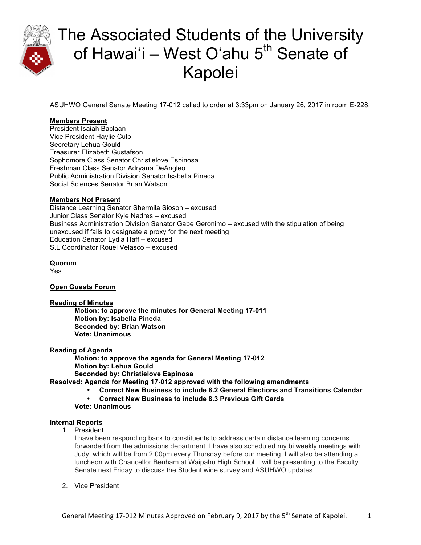

ASUHWO General Senate Meeting 17-012 called to order at 3:33pm on January 26, 2017 in room E-228.

## **Members Present**

President Isaiah Baclaan Vice President Haylie Culp Secretary Lehua Gould Treasurer Elizabeth Gustafson Sophomore Class Senator Christielove Espinosa Freshman Class Senator Adryana DeAngleo Public Administration Division Senator Isabella Pineda Social Sciences Senator Brian Watson

#### **Members Not Present**

Distance Learning Senator Shermila Sioson – excused Junior Class Senator Kyle Nadres – excused Business Administration Division Senator Gabe Geronimo – excused with the stipulation of being unexcused if fails to designate a proxy for the next meeting Education Senator Lydia Haff – excused S.L Coordinator Rouel Velasco – excused

### **Quorum**

Yes

### **Open Guests Forum**

**Reading of Minutes**

**Motion: to approve the minutes for General Meeting 17-011 Motion by: Isabella Pineda Seconded by: Brian Watson Vote: Unanimous**

### **Reading of Agenda**

**Motion: to approve the agenda for General Meeting 17-012 Motion by: Lehua Gould Seconded by: Christielove Espinosa** 

**Resolved: Agenda for Meeting 17-012 approved with the following amendments** 

- **Correct New Business to include 8.2 General Elections and Transitions Calendar**
- **Correct New Business to include 8.3 Previous Gift Cards**
- **Vote: Unanimous**

### **Internal Reports**

1. President

I have been responding back to constituents to address certain distance learning concerns forwarded from the admissions department. I have also scheduled my bi weekly meetings with Judy, which will be from 2:00pm every Thursday before our meeting. I will also be attending a luncheon with Chancellor Benham at Waipahu High School. I will be presenting to the Faculty Senate next Friday to discuss the Student wide survey and ASUHWO updates.

2. Vice President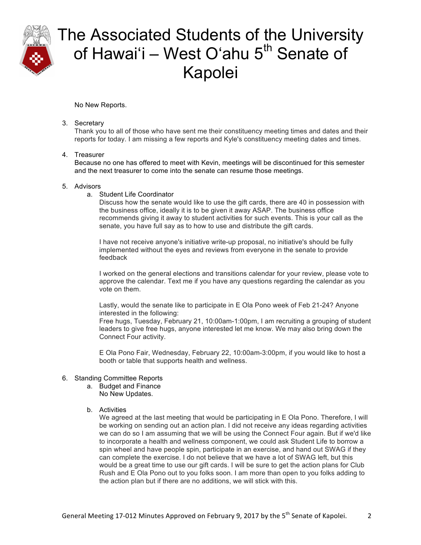

No New Reports.

3. Secretary

Thank you to all of those who have sent me their constituency meeting times and dates and their reports for today. I am missing a few reports and Kyle's constituency meeting dates and times.

#### 4. Treasurer

Because no one has offered to meet with Kevin, meetings will be discontinued for this semester and the next treasurer to come into the senate can resume those meetings.

#### 5. Advisors

a. Student Life Coordinator

Discuss how the senate would like to use the gift cards, there are 40 in possession with the business office, ideally it is to be given it away ASAP. The business office recommends giving it away to student activities for such events. This is your call as the senate, you have full say as to how to use and distribute the gift cards.

I have not receive anyone's initiative write-up proposal, no initiative's should be fully implemented without the eyes and reviews from everyone in the senate to provide feedback

I worked on the general elections and transitions calendar for your review, please vote to approve the calendar. Text me if you have any questions regarding the calendar as you vote on them.

Lastly, would the senate like to participate in E Ola Pono week of Feb 21-24? Anyone interested in the following:

Free hugs, Tuesday, February 21, 10:00am-1:00pm, I am recruiting a grouping of student leaders to give free hugs, anyone interested let me know. We may also bring down the Connect Four activity.

E Ola Pono Fair, Wednesday, February 22, 10:00am-3:00pm, if you would like to host a booth or table that supports health and wellness.

### 6. Standing Committee Reports

- a. Budget and Finance No New Updates.
- b. Activities

We agreed at the last meeting that would be participating in E Ola Pono. Therefore, I will be working on sending out an action plan. I did not receive any ideas regarding activities we can do so I am assuming that we will be using the Connect Four again. But if we'd like to incorporate a health and wellness component, we could ask Student Life to borrow a spin wheel and have people spin, participate in an exercise, and hand out SWAG if they can complete the exercise. I do not believe that we have a lot of SWAG left, but this would be a great time to use our gift cards. I will be sure to get the action plans for Club Rush and E Ola Pono out to you folks soon. I am more than open to you folks adding to the action plan but if there are no additions, we will stick with this.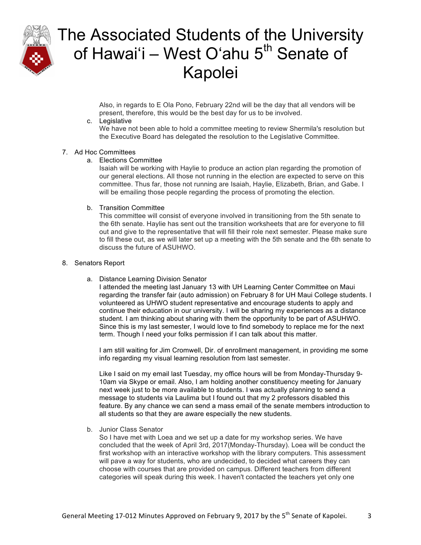

Also, in regards to E Ola Pono, February 22nd will be the day that all vendors will be present, therefore, this would be the best day for us to be involved.

#### c. Legislative

We have not been able to hold a committee meeting to review Shermila's resolution but the Executive Board has delegated the resolution to the Legislative Committee.

#### 7. Ad Hoc Committees

#### a. Elections Committee

Isaiah will be working with Haylie to produce an action plan regarding the promotion of our general elections. All those not running in the election are expected to serve on this committee. Thus far, those not running are Isaiah, Haylie, Elizabeth, Brian, and Gabe. I will be emailing those people regarding the process of promoting the election.

#### b. Transition Committee

This committee will consist of everyone involved in transitioning from the 5th senate to the 6th senate. Haylie has sent out the transition worksheets that are for everyone to fill out and give to the representative that will fill their role next semester. Please make sure to fill these out, as we will later set up a meeting with the 5th senate and the 6th senate to discuss the future of ASUHWO.

#### 8. Senators Report

a. Distance Learning Division Senator

I attended the meeting last January 13 with UH Learning Center Committee on Maui regarding the transfer fair (auto admission) on February 8 for UH Maui College students. I volunteered as UHWO student representative and encourage students to apply and continue their education in our university. I will be sharing my experiences as a distance student. I am thinking about sharing with them the opportunity to be part of ASUHWO. Since this is my last semester, I would love to find somebody to replace me for the next term. Though I need your folks permission if I can talk about this matter.

I am still waiting for Jim Cromwell, Dir. of enrollment management, in providing me some info regarding my visual learning resolution from last semester.

Like I said on my email last Tuesday, my office hours will be from Monday-Thursday 9- 10am via Skype or email. Also, I am holding another constituency meeting for January next week just to be more available to students. I was actually planning to send a message to students via Laulima but I found out that my 2 professors disabled this feature. By any chance we can send a mass email of the senate members introduction to all students so that they are aware especially the new students.

b. Junior Class Senator

So I have met with Loea and we set up a date for my workshop series. We have concluded that the week of April 3rd, 2017(Monday-Thursday). Loea will be conduct the first workshop with an interactive workshop with the library computers. This assessment will pave a way for students, who are undecided, to decided what careers they can choose with courses that are provided on campus. Different teachers from different categories will speak during this week. I haven't contacted the teachers yet only one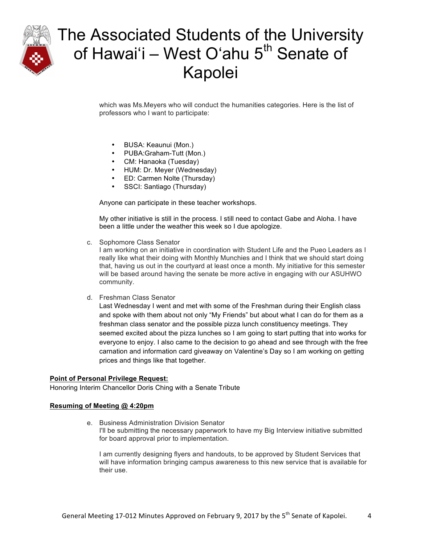

which was Ms.Meyers who will conduct the humanities categories. Here is the list of professors who I want to participate:

- BUSA: Keaunui (Mon.)
- PUBA:Graham-Tutt (Mon.)
- CM: Hanaoka (Tuesday)
- HUM: Dr. Meyer (Wednesday)
- ED: Carmen Nolte (Thursday)
- SSCI: Santiago (Thursday)

Anyone can participate in these teacher workshops.

My other initiative is still in the process. I still need to contact Gabe and Aloha. I have been a little under the weather this week so I due apologize.

c. Sophomore Class Senator

I am working on an initiative in coordination with Student Life and the Pueo Leaders as I really like what their doing with Monthly Munchies and I think that we should start doing that, having us out in the courtyard at least once a month. My initiative for this semester will be based around having the senate be more active in engaging with our ASUHWO community.

d. Freshman Class Senator

Last Wednesday I went and met with some of the Freshman during their English class and spoke with them about not only "My Friends" but about what I can do for them as a freshman class senator and the possible pizza lunch constituency meetings. They seemed excited about the pizza lunches so I am going to start putting that into works for everyone to enjoy. I also came to the decision to go ahead and see through with the free carnation and information card giveaway on Valentine's Day so I am working on getting prices and things like that together.

#### **Point of Personal Privilege Request:**

Honoring Interim Chancellor Doris Ching with a Senate Tribute

#### **Resuming of Meeting @ 4:20pm**

e. Business Administration Division Senator I'll be submitting the necessary paperwork to have my Big Interview initiative submitted for board approval prior to implementation.

I am currently designing flyers and handouts, to be approved by Student Services that will have information bringing campus awareness to this new service that is available for their use.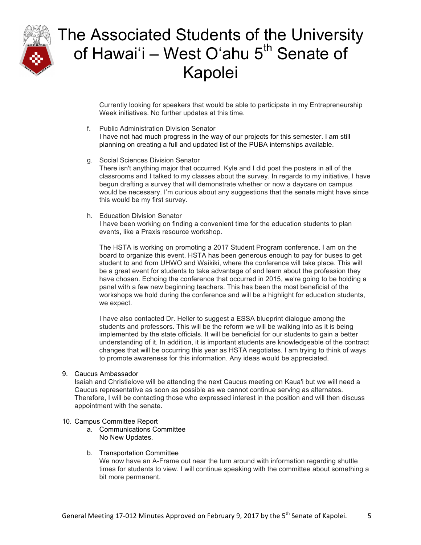

Currently looking for speakers that would be able to participate in my Entrepreneurship Week initiatives. No further updates at this time.

- f. Public Administration Division Senator I have not had much progress in the way of our projects for this semester. I am still planning on creating a full and updated list of the PUBA internships available.
- g. Social Sciences Division Senator There isn't anything major that occurred. Kyle and I did post the posters in all of the classrooms and I talked to my classes about the survey. In regards to my initiative, I have begun drafting a survey that will demonstrate whether or now a daycare on campus would be necessary. I'm curious about any suggestions that the senate might have since this would be my first survey.
- h. Education Division Senator I have been working on finding a convenient time for the education students to plan events, like a Praxis resource workshop.

The HSTA is working on promoting a 2017 Student Program conference. I am on the board to organize this event. HSTA has been generous enough to pay for buses to get student to and from UHWO and Waikiki, where the conference will take place. This will be a great event for students to take advantage of and learn about the profession they have chosen. Echoing the conference that occurred in 2015, we're going to be holding a panel with a few new beginning teachers. This has been the most beneficial of the workshops we hold during the conference and will be a highlight for education students, we expect.

I have also contacted Dr. Heller to suggest a ESSA blueprint dialogue among the students and professors. This will be the reform we will be walking into as it is being implemented by the state officials. It will be beneficial for our students to gain a better understanding of it. In addition, it is important students are knowledgeable of the contract changes that will be occurring this year as HSTA negotiates. I am trying to think of ways to promote awareness for this information. Any ideas would be appreciated.

### 9. Caucus Ambassador

Isaiah and Christielove will be attending the next Caucus meeting on Kaua'i but we will need a Caucus representative as soon as possible as we cannot continue serving as alternates. Therefore, I will be contacting those who expressed interest in the position and will then discuss appointment with the senate.

#### 10. Campus Committee Report

- a. Communications Committee No New Updates.
- b. Transportation Committee

We now have an A-Frame out near the turn around with information regarding shuttle times for students to view. I will continue speaking with the committee about something a bit more permanent.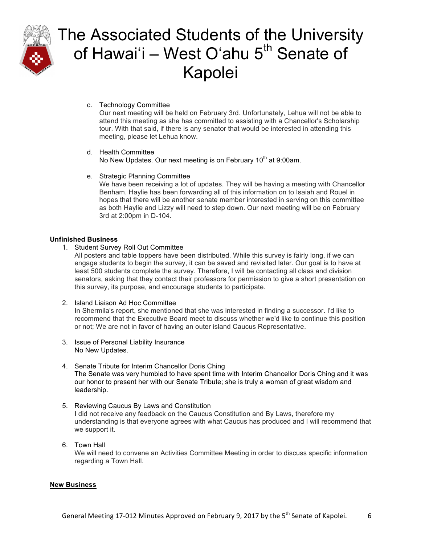

c. Technology Committee

Our next meeting will be held on February 3rd. Unfortunately, Lehua will not be able to attend this meeting as she has committed to assisting with a Chancellor's Scholarship tour. With that said, if there is any senator that would be interested in attending this meeting, please let Lehua know.

- d. Health Committee No New Updates. Our next meeting is on February 10<sup>th</sup> at 9:00am.
- e. Strategic Planning Committee

We have been receiving a lot of updates. They will be having a meeting with Chancellor Benham. Haylie has been forwarding all of this information on to Isaiah and Rouel in hopes that there will be another senate member interested in serving on this committee as both Haylie and Lizzy will need to step down. Our next meeting will be on February 3rd at 2:00pm in D-104.

## **Unfinished Business**

1. Student Survey Roll Out Committee

All posters and table toppers have been distributed. While this survey is fairly long, if we can engage students to begin the survey, it can be saved and revisited later. Our goal is to have at least 500 students complete the survey. Therefore, I will be contacting all class and division senators, asking that they contact their professors for permission to give a short presentation on this survey, its purpose, and encourage students to participate.

2. Island Liaison Ad Hoc Committee

In Shermila's report, she mentioned that she was interested in finding a successor. I'd like to recommend that the Executive Board meet to discuss whether we'd like to continue this position or not; We are not in favor of having an outer island Caucus Representative.

- 3. Issue of Personal Liability Insurance No New Updates.
- 4. Senate Tribute for Interim Chancellor Doris Ching The Senate was very humbled to have spent time with Interim Chancellor Doris Ching and it was our honor to present her with our Senate Tribute; she is truly a woman of great wisdom and leadership.
- 5. Reviewing Caucus By Laws and Constitution I did not receive any feedback on the Caucus Constitution and By Laws, therefore my understanding is that everyone agrees with what Caucus has produced and I will recommend that we support it.
- 6. Town Hall We will need to convene an Activities Committee Meeting in order to discuss specific information regarding a Town Hall.

### **New Business**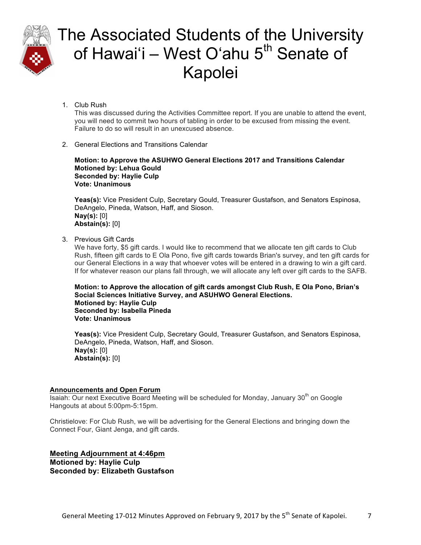

1. Club Rush

This was discussed during the Activities Committee report. If you are unable to attend the event, you will need to commit two hours of tabling in order to be excused from missing the event. Failure to do so will result in an unexcused absence.

2. General Elections and Transitions Calendar

**Motion: to Approve the ASUHWO General Elections 2017 and Transitions Calendar Motioned by: Lehua Gould Seconded by: Haylie Culp Vote: Unanimous**

**Yeas(s):** Vice President Culp, Secretary Gould, Treasurer Gustafson, and Senators Espinosa, DeAngelo, Pineda, Watson, Haff, and Sioson. **Nay(s):** [0] **Abstain(s):** [0]

3. Previous Gift Cards

We have forty, \$5 gift cards. I would like to recommend that we allocate ten gift cards to Club Rush, fifteen gift cards to E Ola Pono, five gift cards towards Brian's survey, and ten gift cards for our General Elections in a way that whoever votes will be entered in a drawing to win a gift card. If for whatever reason our plans fall through, we will allocate any left over gift cards to the SAFB.

**Motion: to Approve the allocation of gift cards amongst Club Rush, E Ola Pono, Brian's Social Sciences Initiative Survey, and ASUHWO General Elections. Motioned by: Haylie Culp Seconded by: Isabella Pineda Vote: Unanimous**

**Yeas(s):** Vice President Culp, Secretary Gould, Treasurer Gustafson, and Senators Espinosa, DeAngelo, Pineda, Watson, Haff, and Sioson. **Nay(s):** [0] **Abstain(s):** [0]

## **Announcements and Open Forum**

 $\overline{\mathsf{Isaiah:}$  Our next Executive Board Meeting will be scheduled for Monday, January 30<sup>th</sup> on Google Hangouts at about 5:00pm-5:15pm.

Christielove: For Club Rush, we will be advertising for the General Elections and bringing down the Connect Four, Giant Jenga, and gift cards.

**Meeting Adjournment at 4:46pm Motioned by: Haylie Culp Seconded by: Elizabeth Gustafson**